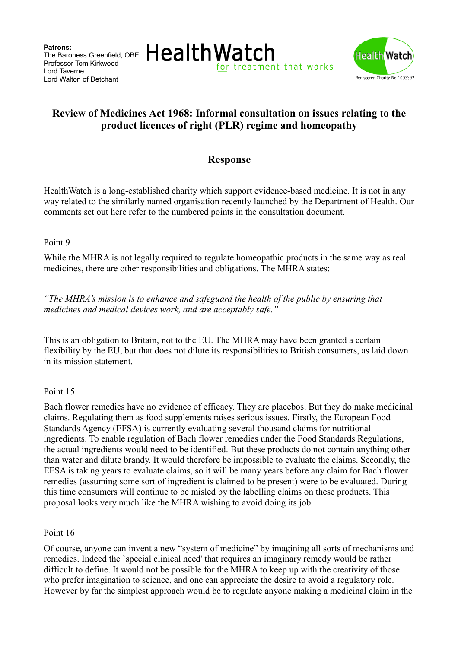**Patrons:** The Baroness Greenfield, OBE Professor Tom Kirkwood Lord Taverne Lord Walton of Detchant





# **Review of Medicines Act 1968: Informal consultation on issues relating to the product licences of right (PLR) regime and homeopathy**

## **Response**

HealthWatch is a long-established charity which support evidence-based medicine. It is not in any way related to the similarly named organisation recently launched by the Department of Health. Our comments set out here refer to the numbered points in the consultation document.

#### Point 9

While the MHRA is not legally required to regulate homeopathic products in the same way as real medicines, there are other responsibilities and obligations. The MHRA states:

*"The MHRA's mission is to enhance and safeguard the health of the public by ensuring that medicines and medical devices work, and are acceptably safe."*

This is an obligation to Britain, not to the EU. The MHRA may have been granted a certain flexibility by the EU, but that does not dilute its responsibilities to British consumers, as laid down in its mission statement.

#### Point 15

Bach flower remedies have no evidence of efficacy. They are placebos. But they do make medicinal claims. Regulating them as food supplements raises serious issues. Firstly, the European Food Standards Agency (EFSA) is currently evaluating several thousand claims for nutritional ingredients. To enable regulation of Bach flower remedies under the Food Standards Regulations, the actual ingredients would need to be identified. But these products do not contain anything other than water and dilute brandy. It would therefore be impossible to evaluate the claims. Secondly, the EFSA is taking years to evaluate claims, so it will be many years before any claim for Bach flower remedies (assuming some sort of ingredient is claimed to be present) were to be evaluated. During this time consumers will continue to be misled by the labelling claims on these products. This proposal looks very much like the MHRA wishing to avoid doing its job.

Point 16

Of course, anyone can invent a new "system of medicine" by imagining all sorts of mechanisms and remedies. Indeed the `special clinical need' that requires an imaginary remedy would be rather difficult to define. It would not be possible for the MHRA to keep up with the creativity of those who prefer imagination to science, and one can appreciate the desire to avoid a regulatory role. However by far the simplest approach would be to regulate anyone making a medicinal claim in the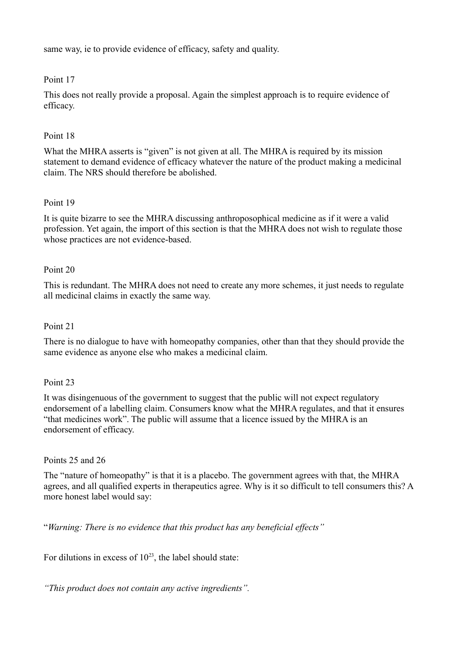same way, ie to provide evidence of efficacy, safety and quality.

## Point 17

This does not really provide a proposal. Again the simplest approach is to require evidence of efficacy.

## Point 18

What the MHRA asserts is "given" is not given at all. The MHRA is required by its mission statement to demand evidence of efficacy whatever the nature of the product making a medicinal claim. The NRS should therefore be abolished.

## Point 19

It is quite bizarre to see the MHRA discussing anthroposophical medicine as if it were a valid profession. Yet again, the import of this section is that the MHRA does not wish to regulate those whose practices are not evidence-based.

## Point 20

This is redundant. The MHRA does not need to create any more schemes, it just needs to regulate all medicinal claims in exactly the same way.

#### Point 21

There is no dialogue to have with homeopathy companies, other than that they should provide the same evidence as anyone else who makes a medicinal claim.

#### Point 23

It was disingenuous of the government to suggest that the public will not expect regulatory endorsement of a labelling claim. Consumers know what the MHRA regulates, and that it ensures "that medicines work". The public will assume that a licence issued by the MHRA is an endorsement of efficacy.

#### Points 25 and 26

The "nature of homeopathy" is that it is a placebo. The government agrees with that, the MHRA agrees, and all qualified experts in therapeutics agree. Why is it so difficult to tell consumers this? A more honest label would say:

"*Warning: There is no evidence that this product has any beneficial effects"*

For dilutions in excess of  $10^{23}$ , the label should state:

*"This product does not contain any active ingredients".*